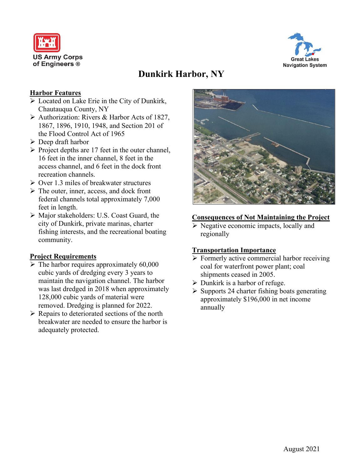



# **Dunkirk Harbor, NY**

### **Harbor Features**

- > Located on Lake Erie in the City of Dunkirk, Chautauqua County, NY
- > Authorization: Rivers & Harbor Acts of 1827, 1867, 1896, 1910, 1948, and Section 201 of the Flood Control Act of 1965
- $\triangleright$  Deep draft harbor
- $\triangleright$  Project depths are 17 feet in the outer channel, 16 feet in the inner channel, 8 feet in the access channel, and 6 feet in the dock front recreation channels.
- $\geq$  Over 1.3 miles of breakwater structures
- $\triangleright$  The outer, inner, access, and dock front federal channels total approximately 7,000 feet in length.
- Major stakeholders: U.S. Coast Guard, the city of Dunkirk, private marinas, charter fishing interests, and the recreational boating community.

#### **Project Requirements**

- $\triangleright$  The harbor requires approximately 60,000 cubic yards of dredging every 3 years to maintain the navigation channel. The harbor was last dredged in 2018 when approximately 128,000 cubic yards of material were removed. Dredging is planned for 2022.
- $\triangleright$  Repairs to deteriorated sections of the north breakwater are needed to ensure the harbor is adequately protected.



#### **Consequences of Not Maintaining the Project**

 $\triangleright$  Negative economic impacts, locally and regionally

#### **Transportation Importance**

- Formerly active commercial harbor receiving coal for waterfront power plant; coal shipments ceased in 2005.
- $\triangleright$  Dunkirk is a harbor of refuge.
- $\triangleright$  Supports 24 charter fishing boats generating approximately \$196,000 in net income annually